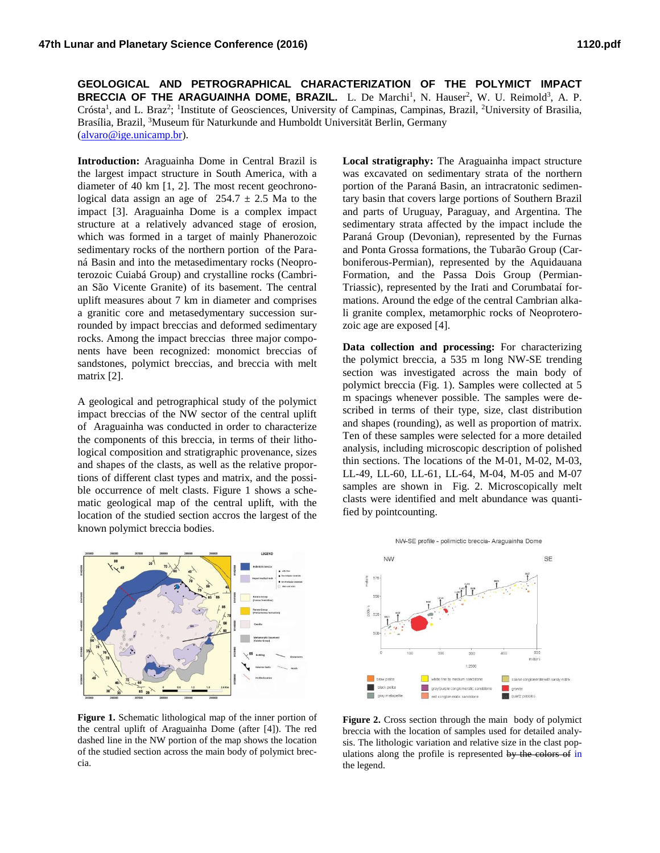**GEOLOGICAL AND PETROGRAPHICAL CHARACTERIZATION OF THE POLYMICT IMPACT BRECCIA OF THE ARAGUAINHA DOME, BRAZIL.** L. De Marchi<sup>1</sup>, N. Hauser<sup>2</sup>, W. U. Reimold<sup>3</sup>, A. P. Crósta<sup>1</sup>, and L. Braz<sup>2</sup>; <sup>1</sup>Institute of Geosciences, University of Campinas, Campinas, Brazil, <sup>2</sup>University of Brasilia, Brasília, Brazil, <sup>3</sup>Museum für Naturkunde and Humboldt Universität Berlin, Germany (alvaro@ige.unicamp.br).

**Introduction:** Araguainha Dome in Central Brazil is the largest impact structure in South America, with a diameter of 40 km [1, 2]. The most recent geochronological data assign an age of  $254.7 \pm 2.5$  Ma to the impact [3]. Araguainha Dome is a complex impact structure at a relatively advanced stage of erosion, which was formed in a target of mainly Phanerozoic sedimentary rocks of the northern portion of the Paraná Basin and into the metasedimentary rocks (Neoproterozoic Cuiabá Group) and crystalline rocks (Cambrian São Vicente Granite) of its basement. The central uplift measures about 7 km in diameter and comprises a granitic core and metasedymentary succession surrounded by impact breccias and deformed sedimentary rocks. Among the impact breccias three major components have been recognized: monomict breccias of sandstones, polymict breccias, and breccia with melt matrix [2].

A geological and petrographical study of the polymict impact breccias of the NW sector of the central uplift of Araguainha was conducted in order to characterize the components of this breccia, in terms of their lithological composition and stratigraphic provenance, sizes and shapes of the clasts, as well as the relative proportions of different clast types and matrix, and the possible occurrence of melt clasts. Figure 1 shows a schematic geological map of the central uplift, with the location of the studied section accros the largest of the known polymict breccia bodies.



**Figure 1.** Schematic lithological map of the inner portion of the central uplift of Araguainha Dome (after [4]). The red dashed line in the NW portion of the map shows the location of the studied section across the main body of polymict breccia.

**Local stratigraphy:** The Araguainha impact structure was excavated on sedimentary strata of the northern portion of the Paraná Basin, an intracratonic sedimentary basin that covers large portions of Southern Brazil and parts of Uruguay, Paraguay, and Argentina. The sedimentary strata affected by the impact include the Paraná Group (Devonian), represented by the Furnas and Ponta Grossa formations, the Tubarão Group (Carboniferous-Permian), represented by the Aquidauana Formation, and the Passa Dois Group (Permian-Triassic), represented by the Irati and Corumbataí formations. Around the edge of the central Cambrian alkali granite complex, metamorphic rocks of Neoproterozoic age are exposed [4].

**Data collection and processing:** For characterizing the polymict breccia, a 535 m long NW-SE trending section was investigated across the main body of polymict breccia (Fig. 1). Samples were collected at 5 m spacings whenever possible. The samples were described in terms of their type, size, clast distribution and shapes (rounding), as well as proportion of matrix. Ten of these samples were selected for a more detailed analysis, including microscopic description of polished thin sections. The locations of the M-01, M-02, M-03, LL-49, LL-60, LL-61, LL-64, M-04, M-05 and M-07 samples are shown in Fig. 2. Microscopically melt clasts were identified and melt abundance was quantified by pointcounting.



**Figure 2.** Cross section through the main body of polymict breccia with the location of samples used for detailed analysis. The lithologic variation and relative size in the clast populations along the profile is represented by the colors of in the legend.